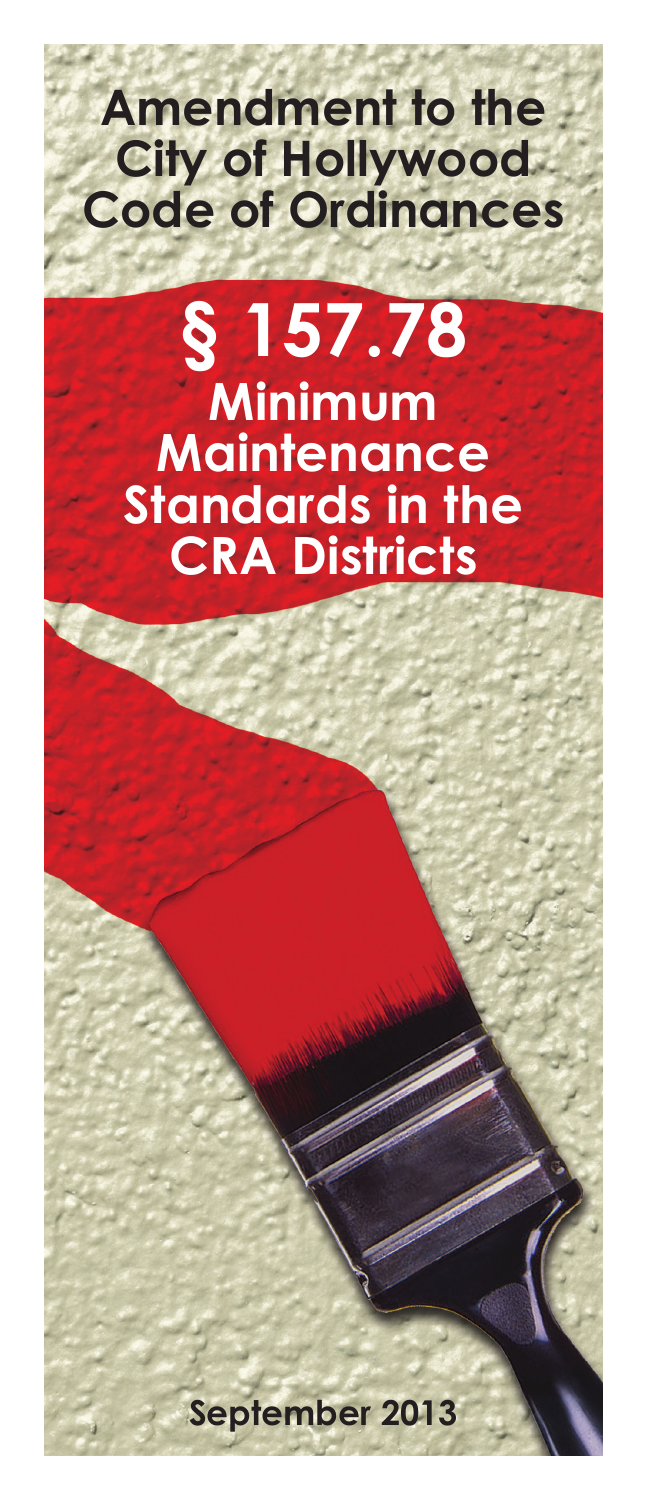# **Amendment to the City of Hollywood Code of Ordinances**

# **§ 157.78 Minimum Maintenance Standards in the CRA Districts**

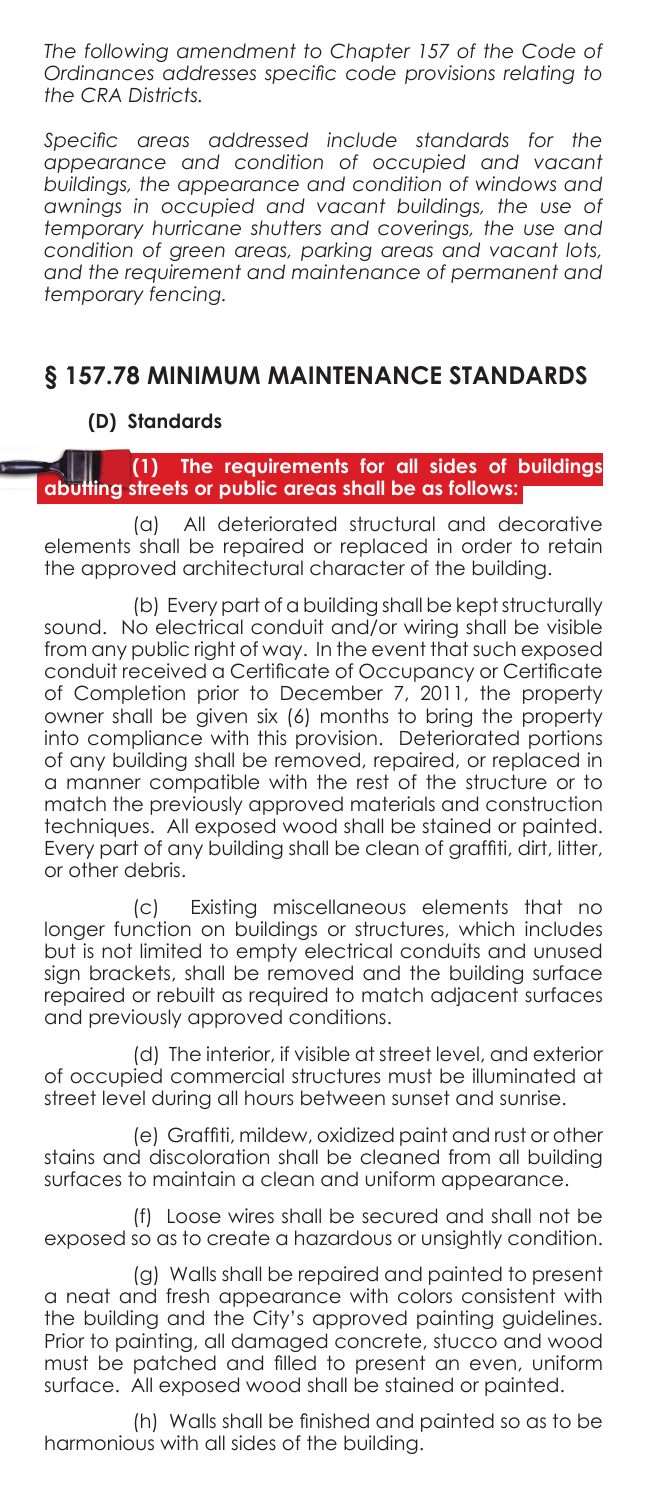*The following amendment to Chapter 157 of the Code of Ordinances addresses specific code provisions relating to the CRA Districts.*

*Specific areas addressed include standards for the appearance and condition of occupied and vacant buildings, the appearance and condition of windows and awnings in occupied and vacant buildings, the use of temporary hurricane shutters and coverings, the use and condition of green areas, parking areas and vacant lots, and the requirement and maintenance of permanent and temporary fencing.*

## **§ 157.78 MINIMUM MAINTENANCE STANDARDS**

### **(D) Standards**

**(1) The requirements for all sides of buildings abutting streets or public areas shall be as follows:**

(a) All deteriorated structural and decorative elements shall be repaired or replaced in order to retain the approved architectural character of the building.

(b) Every part of a building shall be kept structurally sound. No electrical conduit and/or wiring shall be visible from any public right of way. In the event that such exposed conduit received a Certificate of Occupancy or Certificate of Completion prior to December 7, 2011, the property owner shall be given six (6) months to bring the property into compliance with this provision. Deteriorated portions of any building shall be removed, repaired, or replaced in a manner compatible with the rest of the structure or to match the previously approved materials and construction techniques. All exposed wood shall be stained or painted. Every part of any building shall be clean of graffiti, dirt, litter, or other debris.

(c) Existing miscellaneous elements that no longer function on buildings or structures, which includes but is not limited to empty electrical conduits and unused sign brackets, shall be removed and the building surface repaired or rebuilt as required to match adjacent surfaces and previously approved conditions.

(d) The interior, if visible at street level, and exterior of occupied commercial structures must be illuminated at street level during all hours between sunset and sunrise.

(e) Graffiti, mildew, oxidized paint and rust or other stains and discoloration shall be cleaned from all building surfaces to maintain a clean and uniform appearance.

(f) Loose wires shall be secured and shall not be exposed so as to create a hazardous or unsightly condition.

(g) Walls shall be repaired and painted to present a neat and fresh appearance with colors consistent with the building and the City's approved painting guidelines. Prior to painting, all damaged concrete, stucco and wood must be patched and filled to present an even, uniform surface. All exposed wood shall be stained or painted.

(h) Walls shall be finished and painted so as to be harmonious with all sides of the building.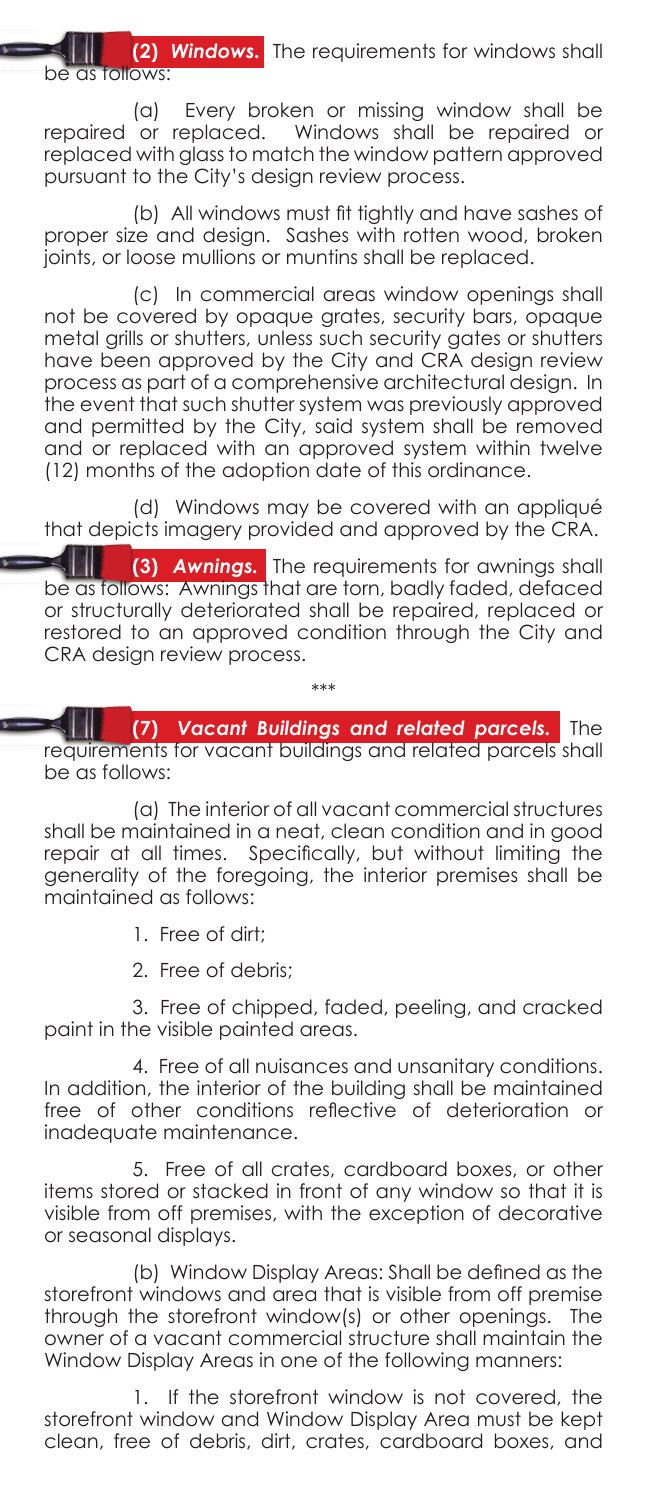**(2)** *Windows.* The requirements for windows shall be as follows:

(a) Every broken or missing window shall be repaired or replaced. Windows shall be repaired or replaced with glass to match the window pattern approved pursuant to the City's design review process.

(b) All windows must fit tightly and have sashes of proper size and design. Sashes with rotten wood, broken joints, or loose mullions or muntins shall be replaced.

(c) In commercial areas window openings shall not be covered by opaque grates, security bars, opaque metal grills or shutters, unless such security gates or shutters have been approved by the City and CRA design review process as part of a comprehensive architectural design. In the event that such shutter system was previously approved and permitted by the City, said system shall be removed and or replaced with an approved system within twelve (12) months of the adoption date of this ordinance.

(d) Windows may be covered with an appliqué that depicts imagery provided and approved by the CRA.

**(3)** *Awnings.* The requirements for awnings shall be as follows: Awnings that are torn, badly faded, defaced or structurally deteriorated shall be repaired, replaced or restored to an approved condition through the City and CRA design review process.

\*\*\*

**(7)** *Vacant Buildings and related parcels.* The requirements for vacant buildings and related parcels shall be as follows:

(a) The interior of all vacant commercial structures shall be maintained in a neat, clean condition and in good repair at all times. Specifically, but without limiting the generality of the foregoing, the interior premises shall be maintained as follows:

- 1. Free of dirt;
- 2. Free of debris;

3. Free of chipped, faded, peeling, and cracked paint in the visible painted areas.

4. Free of all nuisances and unsanitary conditions. In addition, the interior of the building shall be maintained free of other conditions reflective of deterioration or inadequate maintenance.

5. Free of all crates, cardboard boxes, or other items stored or stacked in front of any window so that it is visible from off premises, with the exception of decorative or seasonal displays.

(b) Window Display Areas: Shall be defined as the storefront windows and area that is visible from off premise through the storefront window(s) or other openings. The owner of a vacant commercial structure shall maintain the Window Display Areas in one of the following manners:

1. If the storefront window is not covered, the storefront window and Window Display Area must be kept clean, free of debris, dirt, crates, cardboard boxes, and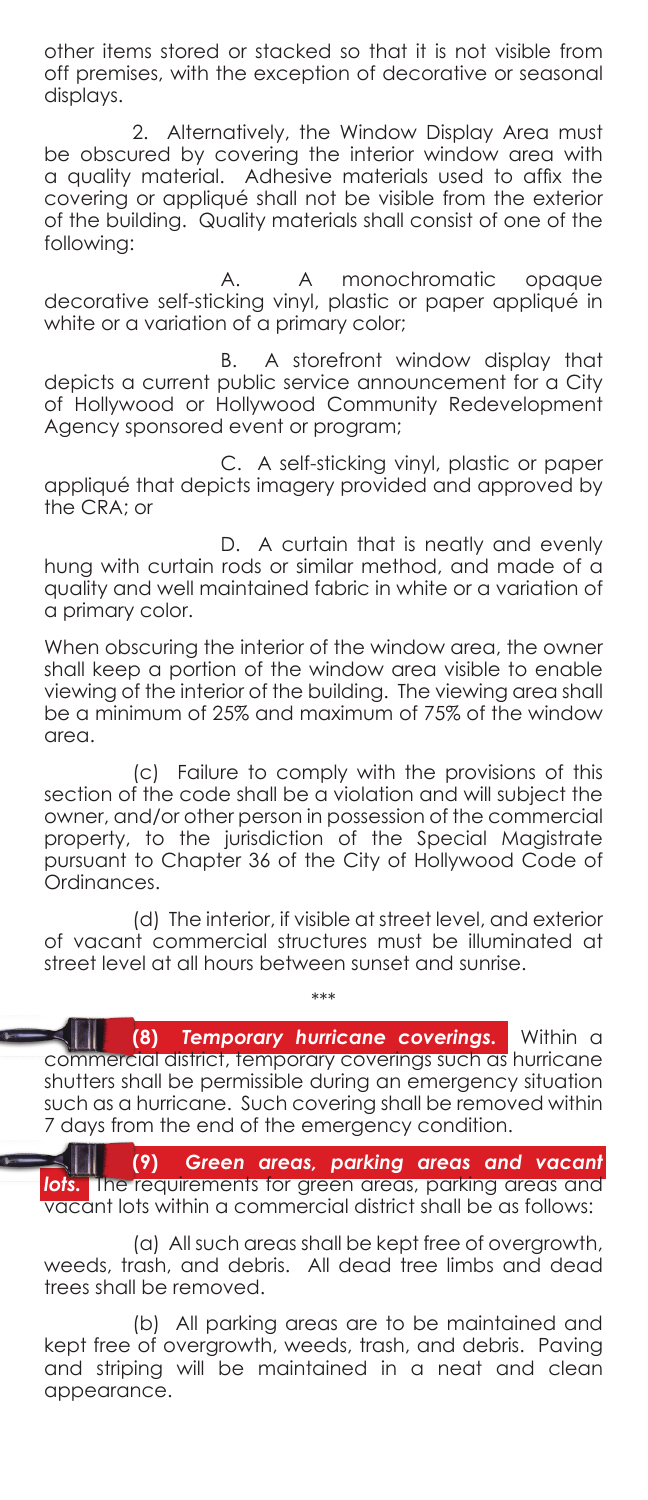other items stored or stacked so that it is not visible from off premises, with the exception of decorative or seasonal displays.

2. Alternatively, the Window Display Area must be obscured by covering the interior window area with a quality material. Adhesive materials used to affix the covering or appliqué shall not be visible from the exterior of the building. Quality materials shall consist of one of the following:

A monochromatic opaque decorative self-sticking vinyl, plastic or paper appliqué in white or a variation of a primary color;

 B. A storefront window display that depicts a current public service announcement for a City of Hollywood or Hollywood Community Redevelopment Agency sponsored event or program;

 C. A self-sticking vinyl, plastic or paper appliqué that depicts imagery provided and approved by the CRA; or

 D. A curtain that is neatly and evenly hung with curtain rods or similar method, and made of a quality and well maintained fabric in white or a variation of a primary color.

When obscuring the interior of the window area, the owner shall keep a portion of the window area visible to enable viewing of the interior of the building. The viewing area shall be a minimum of 25% and maximum of 75% of the window area.

(c) Failure to comply with the provisions of this section of the code shall be a violation and will subject the owner, and/or other person in possession of the commercial property, to the jurisdiction of the Special Magistrate pursuant to Chapter 36 of the City of Hollywood Code of Ordinances.

(d) The interior, if visible at street level, and exterior of vacant commercial structures must be illuminated at street level at all hours between sunset and sunrise.

\*\*\*

**(8)** *Temporary hurricane coverings.* Within a commercial district, temporary coverings such as hurricane shutters shall be permissible during an emergency situation such as a hurricane. Such covering shall be removed within 7 days from the end of the emergency condition.

 $\leq$   $\parallel$ **(9)** *Green areas, parking areas and vacant lots.* The requirements for green areas, parking areas and vacant lots within a commercial district shall be as follows:

(a) All such areas shall be kept free of overgrowth, weeds, trash, and debris. All dead tree limbs and dead trees shall be removed.

(b) All parking areas are to be maintained and kept free of overgrowth, weeds, trash, and debris. Paving and striping will be maintained in a neat and clean appearance.